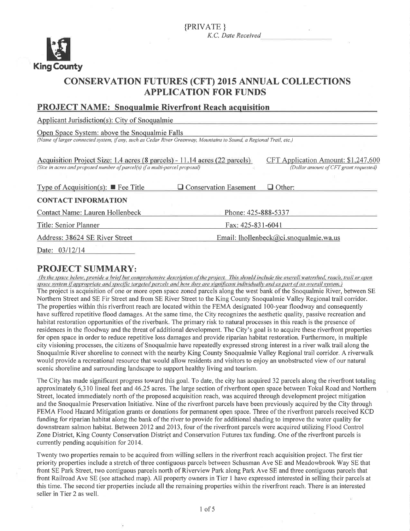

# **CONSERVATION FUTURES (CFT) 2015 ANNUAL COLLECTIONS APPLICATION FOR FUNDS**

#### **PROJECT NAME: Snoqualmie Riverfront Reach acquisition**

Applicant Jurisdiction(s): City of Snoqualmie

Open Space System: above the Snoqualmie Falls (Name of larger connected system, if any, such as Cedar River Greenway, Mountains to Sound, a Regional Trail, etc.)

| Acquisition Project Size: 1.4 acres (8 parcels) - 11.14 acres (22 parcels).<br>(Size in acres and proposed number of parcel(s) if a multi-parcel proposal) |                                        | CFT Application Amount: \$1,247,600<br>(Dollar amount of CFT grant requested) |  |
|------------------------------------------------------------------------------------------------------------------------------------------------------------|----------------------------------------|-------------------------------------------------------------------------------|--|
| Type of Acquisition(s): $\blacksquare$ Fee Title                                                                                                           | $\Box$ Conservation Easement           | $\Box$ Other:                                                                 |  |
| <b>CONTACT INFORMATION</b>                                                                                                                                 |                                        |                                                                               |  |
| <b>Contact Name: Lauren Hollenbeck</b>                                                                                                                     | Phone: 425-888-5337                    |                                                                               |  |
| Title: Senior Planner                                                                                                                                      | Fax: 425-831-6041                      |                                                                               |  |
| Address: 38624 SE River Street                                                                                                                             | Email: lhollenbeck@ci.snoqualmie.wa.us |                                                                               |  |

Date: 03/12/14

## **PROJECT SUMMARY:**

(In the space below, provide a brief but comprehensive description of the project. This should include the overall watershed, reach, trail or open space system if appropriate and specific targeted parcels and how they are significant individually and as part of an overall system.) The project is acquisition of one or more open space zoned parcels along the west bank of the Snoqualmie River, between SE Northern Street and SE Fir Street and from SE River Street to the King County Snoqualmie Valley Regional trail corridor. The properties within this riverfront reach are located within the FEMA designated 100-year floodway and consequently have suffered repetitive flood damages. At the same time, the City recognizes the aesthetic quality, passive recreation and habitat restoration opportunities of the riverbank. The primary risk to natural processes in this reach is the presence of residences in the floodway and the threat of additional development. The City's goal is to acquire these riverfront properties for open space in order to reduce repetitive loss damages and provide riparian habitat restoration. Furthermore, in multiple city visioning processes, the citizens of Snoqualmie have repeatedly expressed strong interest in a river walk trail along the Snoqualmie River shoreline to connect with the nearby King County Snoqualmie Valley Regional trail corridor. A riverwalk would provide a recreational resource that would allow residents and visitors to enjoy an unobstructed view of our natural scenic shoreline and surrounding landscape to support healthy living and tourism.

The City has made significant progress toward this goal. To date, the city has acquired 32 parcels along the riverfront totaling approximately 6,310 lineal feet and 46.25 acres. The large section of riverfront open space between Tokul Road and Northern Street, located immediately north of the proposed acquisition reach, was acquired through development project mitigation and the Snoqualmie Preservation Initiative. Nine of the riverfront parcels have been previously acquired by the City through FEMA Flood Hazard Mitigation grants or donations for permanent open space. Three of the riverfront parcels received KCD funding for riparian habitat along the bank of the river to provide for additional shading to improve the water quality for downstream salmon habitat. Between 2012 and 2013, four of the riverfront parcels were acquired utilizing Flood Control Zone District, King County Conservation District and Conservation Futures tax funding. One of the riverfront parcels is currently pending acquisition for 2014.

Twenty two properties remain to be acquired from willing sellers in the riverfront reach acquisition project. The first tier priority properties include a stretch of three contiguous parcels between Schusman Ave SE and Meadowbrook Way SE that front SE Park Street, two contiguous parcels north of Riverview Park along Park Ave SE and three contiguous parcels that front Railroad Ave SE (see attached map). All property owners in Tier 1 have expressed interested in selling their parcels at this time. The second tier properties include all the remaining properties within the riverfront reach. There is an interested seller in Tier 2 as well.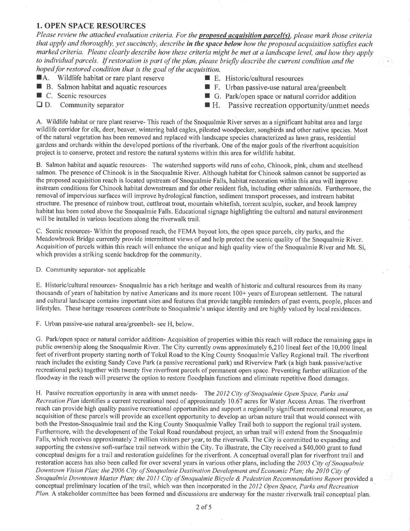#### 1. OPEN SPACE RESOURCES

Please review the attached evaluation criteria. For the **proposed acquisition parcel(s)**, please mark those criteria that apply and thoroughly, yet succinctly, describe in the space below how the proposed acquisition satisfies each marked criteria. Please clearly describe how these criteria might be met at a landscape level, and how they apply to individual parcels. If restoration is part of the plan, please briefly describe the current condition and the hoped for restored condition that is the goal of the acquisition.

- **f A.** Wildlife habitat or rare plant reserve **I** E. Historic/cultural resources **I** B. Salmon habitat and aquatic resources **I** F. Urban passive-use natural a
- 
- 
- 
- 
- B. Salmon habitat and aquatic resources F. Urban passive-use natural area/greenbelt<br>■ G. Park/open space or natural corridor additional corridor additional corridor additional corridor and corridor and corridor and co
	- $\blacksquare$  G. Park/open space or natural corridor addition
- $\Box$  D. Community separator  $\Box$  H. Passive recreation opportunity/unmet needs

A. Wildlife habitat or rare plant reserve- This reach of the Snoqualmie River serves as a significant habitat area and large wildlife corridor for elk, deer, beaver, wintering bald eagles, pileated woodpecker, songbirds and other native species. Most ofthe natural vegetation has been retnoved and replaced with landscape species characterized as lawn grass, residential gardens and orchards within the developed portions of the riverbank. One of the rnajor goals of the riverfront acquisition project is to conserve, protect and restore the natural systerns within this area for wildlife habitat.

B. Salmon habitat and aquatic resources- The watershed supports wild runs of coho, Chinook, pink, chum and steelhead salmon. The presence of Chinook is in the Snoqualmie River. Although habitat for Chinook salmon cannot be supported as the proposed acquisition reach is located upstream of Snoqualmie Falls, habitat restoration within this area will improve instream conditions for Chinook habitat downstream and for other resident fish, including other salmonids. Furthermore, the removal of impervious surfaces will improve hydrological function, sediment transport processes, and instream habitat structure. The presence of rainbow trout, cutthroat trout, mountain whitefish, torrent sculpin, sucker, and brook lamprey habitat has been noted above the Snoqualmie Falls. Educational signage highlighting the cultural and natural environment will be installed in various locations along the riverwalk trail.

C. Scenic resources- 'Within the proposed reach, the FEMA buyout lots, the open space parcels, city parks, and the Meadowbrook Bridge currently provide intermittent views of and help protect the scenic quality of the Snoqualmie River. Acquisition of parcels within this reach will enhance the unique and high quality view of the Snoqualmie River and Mt. Si, which provides a striking scenic backdrop for the community.

D. Community separator- not applicable

E. Historic/cultural resources- Snoqualmie has a rich heritage and wealth of historic and cultural resources from its many thousands of years of habitation by native Americans and its more recent 100+ years of European settlement. The natural and cultural landscape contains impoftant sites and features that provide tangible reminders of past events, people, places and lifestyles. These heritage resources contribute to Snoquahnie's unique identity and are highly valued by local residences.

F. Urban passive-use natural area/greenbelt- see H, below.

G. Park/open space or natural corridor addition- Acquisition of properties within this reach will reduce the remainìng gaps in public ownership along the Snoqualmie River. The City currently owns approximately 6,210 lineal feet of the 10,000 lineal feet of riverfront property starting north of Tokul Road to the King County Snoqualmie Valley Regional trail. The riverfront reach includes the existing Sandy Cove Park (a passive recreational park) and Riverview Park (a high bank passive/active recreational park) together with twenty five riverfront parcels of permanent open space. Preventing further utilization of the floodway in the reach will preserve the option to restore floodplain functions and elirninate repetitive flood damages.

H. Passive recreation opportunity in area with unmet needs- The 2012 City of Snoqualmie Open Space, Parks and Recreation Plan identifies a current recreational need of approximately 10.67 acres for Water Access Areas. The riverfront reach can provide high quality passive recreational opportunities and support a regionally significant recreational resource, as acquisition of these parcels will provide an excellent opportunity to develop an urban nature trail that would connect with both the Preston-Snoqualmie trail and the King County Snoqualmie Valley Trail both to support the regional trail system. Furthermore, with the development of the Tokul Road roundabout project, an urban trail will extend from the Snoqualmie Falls, which receives approximately 2 million visitors per year, to the riverwalk. The City is committed to expanding and supporting the extensive soft-surface trail network within the City. To illustrate, the City received a \$40,000 grant to fund conceptual designs for a trail and restoration guidelines for the riverfront. A conceptual overall plan for riverfront trail and restoration access has also been called for over several years in various other plans, including the 2005 City of Snoqualmie Downtown Vision Plan; the 2006 City of Snoqualmie Destination Development and Economic Plan; the 2010 City of Snoqualmie Downtown Master Plan; the 2011 City of Snoqualmie Bicycle & Pedestrian Recommendations Report provided a conceptual preliminary location of the trail, which was then incorporated in the 2012 Open Space, Parks and Recreation Plan. A stakeholder committee has been formed and discussions are underway for the master riverwalk trail conceptual plan.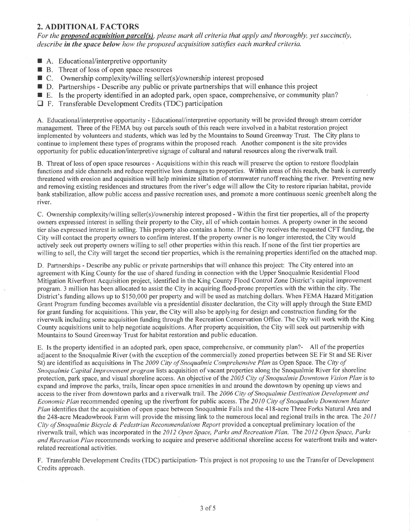### 2. ADDITIONAL FACTORS

For the **proposed acquisition parcel(s)**, please mark all criteria that apply and thoroughly, yet succinctly, describe in the space below how the proposed acquisition satisfies each marked criteria.

- A. Educational/interpretive opportunity
- $\blacksquare$  R. Educational interpret to opportunity<br> $\blacksquare$  B. Threat of loss of open space resources
- B. Threat of loss of open space resources<br>■ C. Ownership complexity/willing seller(s)/ownership interest proposed
- $\Box$  D. Partnerships Describe any public or private partnerships that will enhance this project
- E. Is the property identified in an adopted park, open space, comprehensive, or community plan?
- $\Box$  F. Transferable Development Credits (TDC) participation

A. Educational/interpretive opportunity - Educational/interpretive opportunity will be provided through stream corridor management. Three of the FEMA buy out parcels south of this reach were involved in a habitat restoration project irnplemented by volunteers and students, which was led by the Mountains to Sound Greenway Trust. The City plans to continue to implement these types of programs within the proposed reach. Another component is the site provides opportunity for public education/interpretive signage of cultural and natural resources along the riverwalk trail.

B. Threat of loss of open space resources - Acquisitions within this reach will preserve the option to restore floodplain functions and side channels and reduce repetitive loss damages to properties. Within areas of this reach, the bank is currently threatened with erosion and acquisition will help minimize siltation of stormwater runoff reaching the river. Preventing new and removing existing residences and structures from the river's edge will allow the City to restore riparian habitat, provide bank stabilization, allow public access and passive recreation uses, and promote a more continuous scenic greenbelt along the river.

C. Ownership complexity/willing seller(s)/ownership interest proposed - Within the first tier properties, all of the property owners expressed interest in selling their property to the City, all of which contain homes. A property owner in the second tier also expressed interest in selling. This property also contains a home. If the City receives the requested CFT funding, the City will contact the property owners to confirm interest. If the property owner is no longer interested, the City would actively seek out property owners willing to sell other properties within this reach. If none of the first tier properties are willing to sell, the City will target the second tier properties, which is the remaining properties identified on the attached map.

D. Paftnerships - Describe any public or private partnerships that will enhance this project: The City entered into an agreement with King County for the use of shared funding in connection with the Upper Snoqualmie Residential Flood Mitigation Riverfront Acquisition project, identified in the King County Flood Control Zone District's capital improvement program. 3 million has been allocated to assist the City in acquiring flood-prone properties with the within the city. The District's funding allows up to \$150,000 per property and will be used as matching dollars. When FEMA Hazard Mitigation Grant Prograrn funding becomes available via a presidential disaster declaration, the City will apply through the State EMD for grant funding for acquisitions. This year, the City will also be applying for design and construction funding for the riverwalk including some acquisition funding through the Recreation Conservation Office. The City will work with the King County acquisitions unit to help negotiate acquisitions. After property acquisition, the City will seek out partnership with Mountains to Sound Greenway Trust for habitat restoration and public education.

E. Is the properly identified in an adopted park, open space, comprehensive, or comrnunity plan?- All of the properties adjacent to the Snoqualmie River (with the exception of the commercially zoned properties between SE Fir St and SE River St) are identified as acquisitions in The 2009 City of Snoqualmie Comprehensive Plan as Open Space. The City of Snoqualmie Capital Improvement program lists acquisition of vacant properties along the Snoqualmie River for shoreline protection, park space, and visual shoreline access. An objective of the 2005 City of Snoqualmie Downtown Vision Plan is to expand and improve the parks, trails, linear open space amenities in and around the downtown by opening up views and access to the river from downtown parks and a riverwalk trail. The 2006 City of Snoqualmie Destination Development and Economic Plan recommended opening up the riverfront for public access. The 2010 City of Snoqualmie Downtown Master Plan identifies that the acquisition of open space between Snoqualmie Falls and the 418-acre Three Forks Natural Area and the 248-acre Meadowbrook Farm will provide the missing link to the numerous local and regional trails in the area. The 2011 City of Snoqualmie Bicycle & Pedestrian Recommendations Report provided a conceptual preliminary location of the riverwalk trail, which was incorporated in the 2012 Open Space, Parks and Recreation Plan. The 2012 Open Space, Parks and Recreation Plan recommends working to acquire and preserve additional shoreline access for waterfront trails and waterrelated recreational activities.

F. Transferable Development Credits (TDC) pafiicipation- This project is not proposing to use the Transfer of Development Credits approach.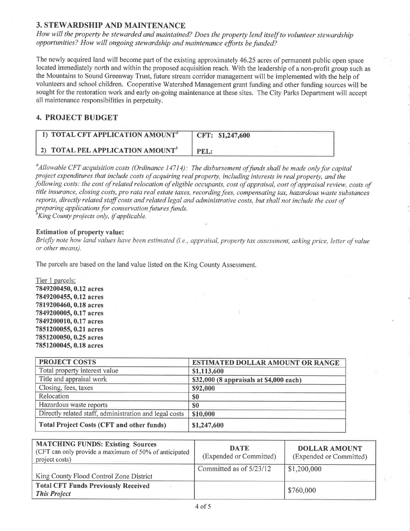#### 3. STEWARDSHIP AND MAINTENANCE

How will the property be stewarded qnd maintained? Does the property lend itself to volunteer stewardship opportunities? How will ongoing stewardship and maintenance efforts be funded?

The newly acquired land will become part of the existing approximately 46.25 acres of permanent public open space located immediately north and within the proposed acquisition reach. With the leadership of a non-profit group such as the Mountains to Sound Greenway Trust, future stream corridor management will be implemented with the help of volunteers and school children. Cooperative Watershed Management grant funding and other funding sources will be sought for the restoration work and early on-going maintenance at these sites. The City Parks Department will accept all maintenance responsibilities in perpetuity.

### 4. PROJECT BUDGET

| 1) TOTAL CFT APPLICATION AMOUNT <sup>a</sup>        | CFT: \$1,247,600 |
|-----------------------------------------------------|------------------|
| <b>2) TOTAL PEL APPLICATION AMOUNT</b> <sup>b</sup> | PEL:             |

<sup>a</sup> Allowable CFT acquisition costs (Ordinance 14714): The disbursement of funds shall be made only for capital project expenditures that include costs of acquiring real property, including interests in real property, and the following costs: the cost of related relocation of eligible occupants, cost of appraisal, cost of appraisal review, costs of title insurance, closing costs, pro rata real estate taxes, recording fees, compensating tax, hazardous waste substances reports, directly related staffcosts and related legal and administrative costs, but shall not include the cost of preparing applications for conservation futures funds.<br><sup>b</sup>King County projects only, if applicable.

#### Estimation of property value:

Briefly note how land values have been estimated (i.e., appraisal, property tax assessment, asking price, letter of value or other means).

The parcels are based on the land value listed on the King County Assessment.

Tier 1 parcels: 7849200450,0.12 acres 7849200455,0.12 acres 7819200460,0.18 acres 7849200005, 0.17 acres 7849200010, 0.17 acres 7851200055, 0.21 acres 7851200050, 0.25 acres 7851200045, 0.18 acres

| <b>PROJECT COSTS</b>                                   | ESTIMATED DOLLAR AMOUNT OR RANGE        |
|--------------------------------------------------------|-----------------------------------------|
| Total property interest value                          | \$1,113,600                             |
| Title and appraisal work                               | \$32,000 (8 appraisals at \$4,000 each) |
| Closing, fees, taxes                                   | \$92,000                                |
| Relocation                                             | \$0                                     |
| Hazardous waste reports                                | \$0                                     |
| Directly related staff, administration and legal costs | \$10,000                                |
| <b>Total Project Costs (CFT and other funds)</b>       | \$1,247,600                             |

| <b>MATCHING FUNDS: Existing Sources</b><br>(CFT can only provide a maximum of 50% of anticipated<br>project costs) | <b>DATE</b><br>(Expended or Committed) | <b>DOLLAR AMOUNT</b><br>(Expended or Committed) |
|--------------------------------------------------------------------------------------------------------------------|----------------------------------------|-------------------------------------------------|
| King County Flood Control Zone District                                                                            | Committed as of 5/23/12                | \$1,200,000                                     |
| <b>Total CFT Funds Previously Received</b><br><b>This Project</b>                                                  |                                        | \$760,000                                       |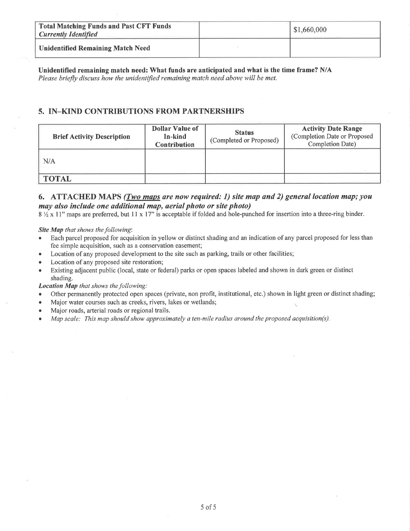| <b>Total Matching Funds and Past CFT Funds</b><br><b>Currently Identified</b> | \$1,660,000 |
|-------------------------------------------------------------------------------|-------------|
| <b>Unidentified Remaining Match Need</b>                                      |             |

Unidentified remaining match need: What funds are anticipated and what is the time frame? N/A Please briefly discuss how the unidentified remaining match need above will be met.

### 5. IN-KIND CONTRIBUTIONS FROM PARTNERSHIPS

| <b>Brief Activity Description</b> | <b>Dollar Value of</b><br>In-kind<br><b>Contribution</b> | <b>Status</b><br>(Completed or Proposed) | <b>Activity Date Range</b><br>(Completion Date or Proposed<br>Completion Date) |
|-----------------------------------|----------------------------------------------------------|------------------------------------------|--------------------------------------------------------------------------------|
| N/A                               |                                                          |                                          |                                                                                |
| <b>TOTAL</b>                      |                                                          |                                          |                                                                                |

### 6. ATTACHED MAPS (*Two maps are now required: 1) site map and 2) general location map; you* may also include one additional map, aerial photo or site photo)

8 1/2 x 11" maps are preferred, but 11 x 17" is acceptable if folded and hole-punched for insertion into a three-ring binder.

#### Site Map that shows the following:

- Each parcel proposed for acquisition in yellow or distinct shading and an indication of any parcel proposed for less than  $\bullet$ fee simple acquisition, such as a conservation easement;
- Location of any proposed development to the site such as parking, trails or other facilities;  $\bullet$
- Location of any proposed site restoration;  $\bullet$
- Existing adjacent public (local, state or federal) parks or open spaces labeled and shown in dark green or distinct shading.

#### Location Map that shows the following:

- Other permanently protected open spaces (private, non profit, institutional, etc.) shown in light green or distinct shading;  $\bullet$
- Major water courses such as creeks, rivers, lakes or wetlands;
- Major roads, arterial roads or regional trails.  $\bullet$
- Map scale: This map should show approximately a ten-mile radius around the proposed acquisition(s).  $\bullet$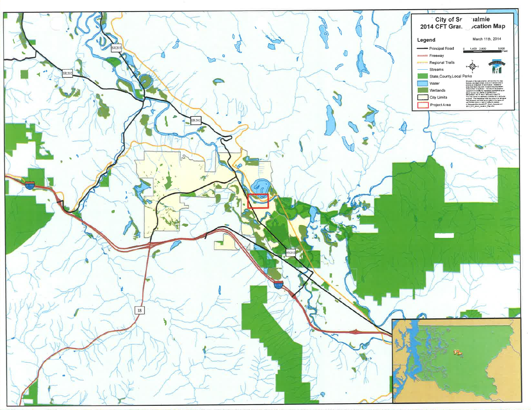